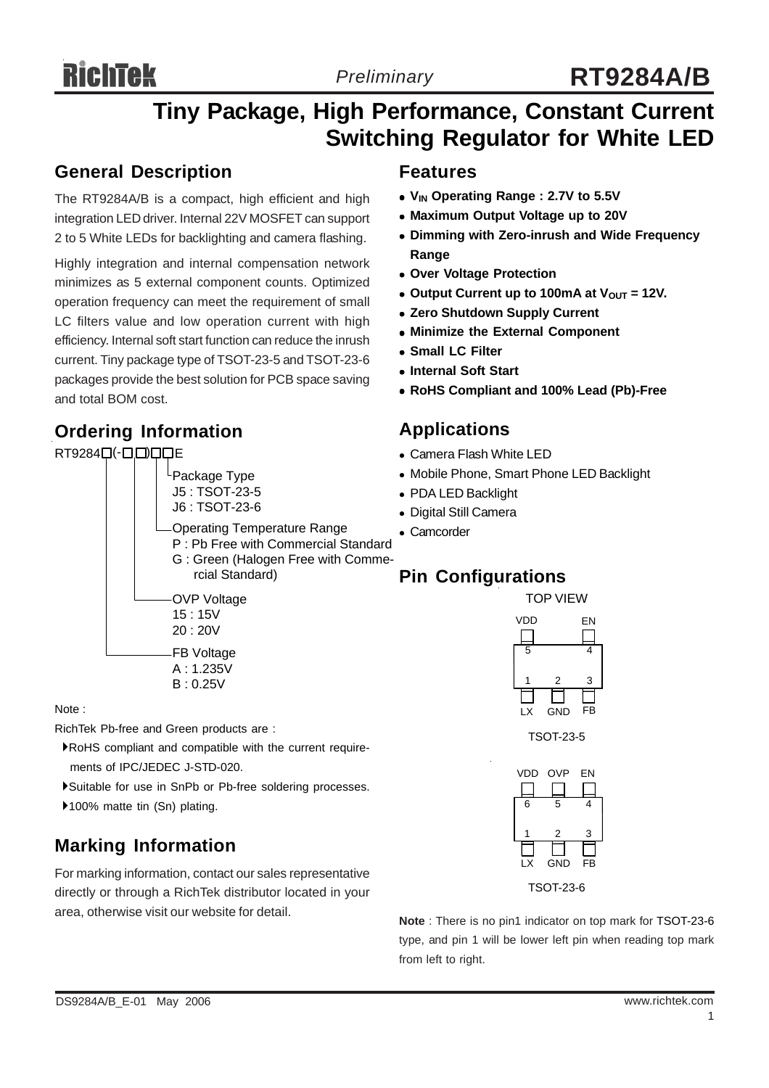# **RichTek**

# **Tiny Package, High Performance, Constant Current Switching Regulator for White LED**

## **General Description**

The RT9284A/B is a compact, high efficient and high integration LED driver. Internal 22V MOSFET can support 2 to 5 White LEDs for backlighting and camera flashing.

Highly integration and internal compensation network minimizes as 5 external component counts. Optimized operation frequency can meet the requirement of small LC filters value and low operation current with high efficiency. Internal soft start function can reduce the inrush current. Tiny package type of TSOT-23-5 and TSOT-23-6 packages provide the best solution for PCB space saving and total BOM cost.

# **Ordering Information**

### RT92840(-0000E



B : 0.25V

Note :

RichTek Pb-free and Green products are :

- `RoHS compliant and compatible with the current require ments of IPC/JEDEC J-STD-020.
- `Suitable for use in SnPb or Pb-free soldering processes.

▶100% matte tin (Sn) plating.

# **Marking Information**

For marking information, contact our sales representative directly or through a RichTek distributor located in your area, otherwise visit our website for detail.

## **Features**

- <sup>z</sup> **VIN Operating Range : 2.7V to 5.5V**
- **Maximum Output Voltage up to 20V**
- **Dimming with Zero-inrush and Wide Frequency Range**
- **Over Voltage Protection**
- Output Current up to 100mA at  $V_{OUT} = 12V$ .
- **Zero Shutdown Supply Current**
- **Minimize the External Component**
- $\bullet$  **Small LC Filter**
- $\bullet$  **Internal Soft Start**
- <sup>z</sup> **RoHS Compliant and 100% Lead (Pb)-Free**

## **Applications**

- Camera Flash White LED
- Mobile Phone, Smart Phone LED Backlight
- PDA LED Backlight
- Digital Still Camera
- Camcorder

# **Pin Configurations**

TOP VIEW



TSOT-23-5



TSOT-23-6

**Note** : There is no pin1 indicator on top mark for TSOT-23-6 type, and pin 1 will be lower left pin when reading top mark from left to right.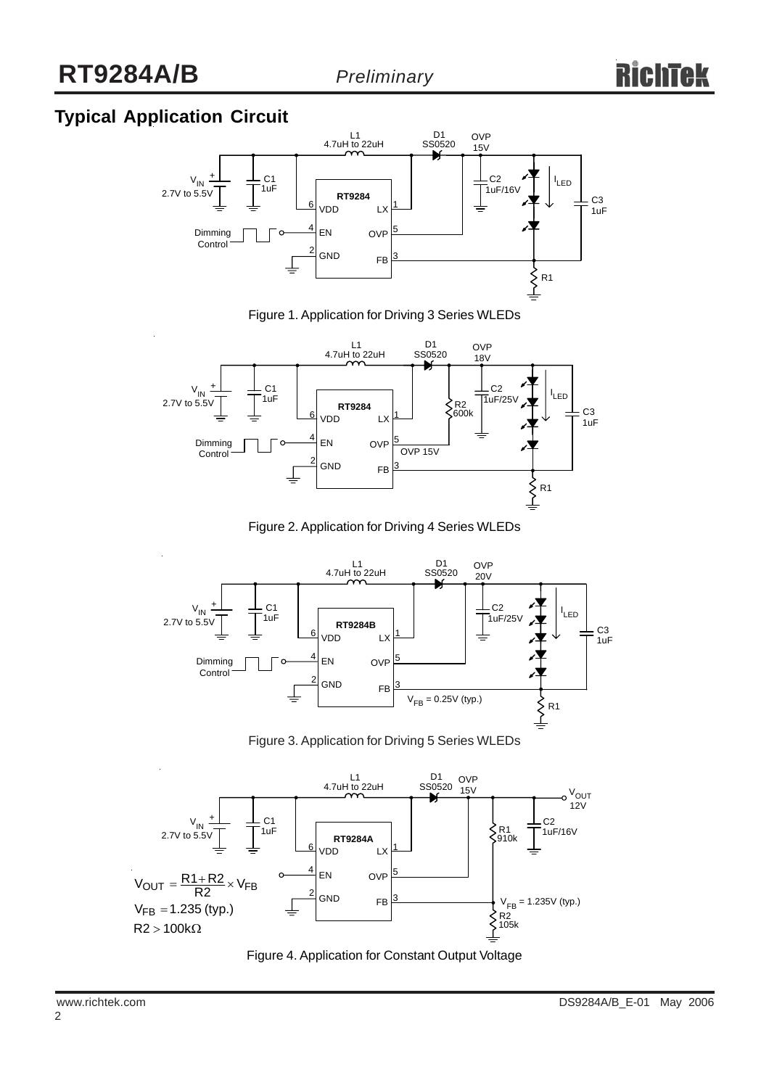# **Typical Application Circuit**



Figure 1. Application for Driving 3 Series WLEDs



Figure 2. Application for Driving 4 Series WLEDs



Figure 3. Application for Driving 5 Series WLEDs



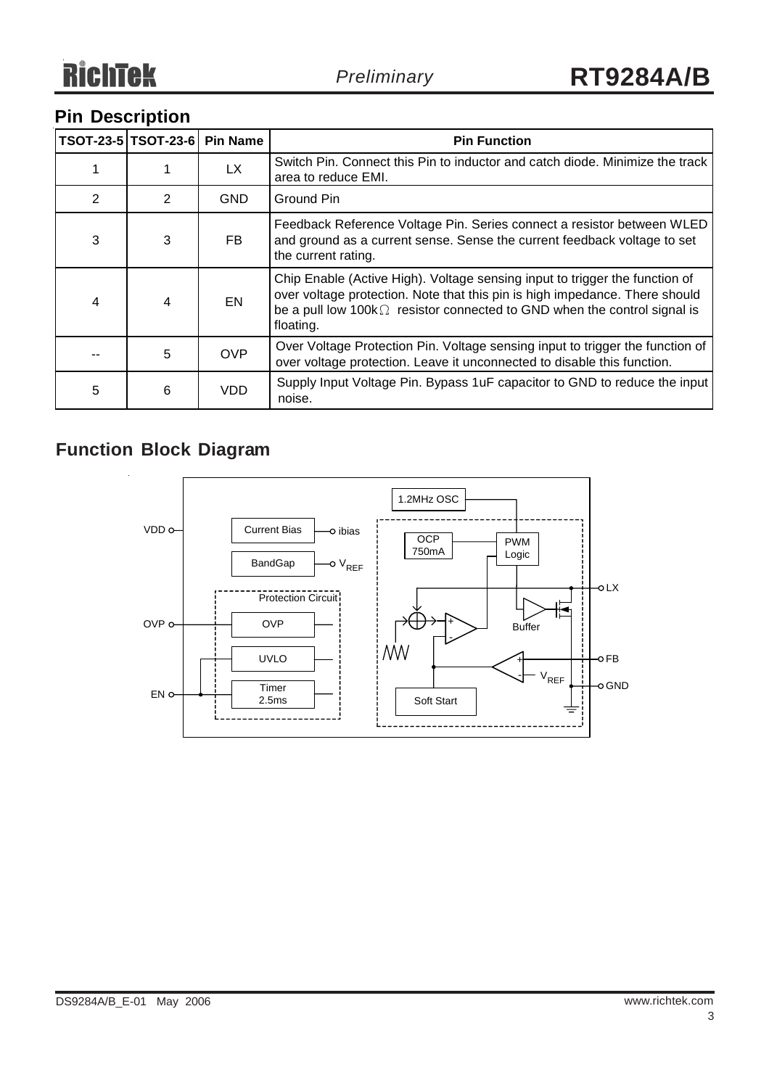# **Pin Description**

|                | TSOT-23-5 TSOT-23-6 | <b>Pin Name</b> | <b>Pin Function</b>                                                                                                                                                                                                                                        |
|----------------|---------------------|-----------------|------------------------------------------------------------------------------------------------------------------------------------------------------------------------------------------------------------------------------------------------------------|
|                |                     | <b>LX</b>       | Switch Pin. Connect this Pin to inductor and catch diode. Minimize the track<br>area to reduce EMI.                                                                                                                                                        |
| $\overline{2}$ | 2                   | <b>GND</b>      | Ground Pin                                                                                                                                                                                                                                                 |
| 3              | 3                   | FB.             | Feedback Reference Voltage Pin. Series connect a resistor between WLED<br>and ground as a current sense. Sense the current feedback voltage to set<br>the current rating.                                                                                  |
| $\overline{4}$ | $\overline{4}$      | EN              | Chip Enable (Active High). Voltage sensing input to trigger the function of<br>over voltage protection. Note that this pin is high impedance. There should<br>be a pull low $100k\Omega$ resistor connected to GND when the control signal is<br>floating. |
|                | 5                   | <b>OVP</b>      | Over Voltage Protection Pin. Voltage sensing input to trigger the function of<br>over voltage protection. Leave it unconnected to disable this function.                                                                                                   |
| 5              | 6                   | <b>VDD</b>      | Supply Input Voltage Pin. Bypass 1uF capacitor to GND to reduce the input<br>noise.                                                                                                                                                                        |

# **Function Block Diagram**

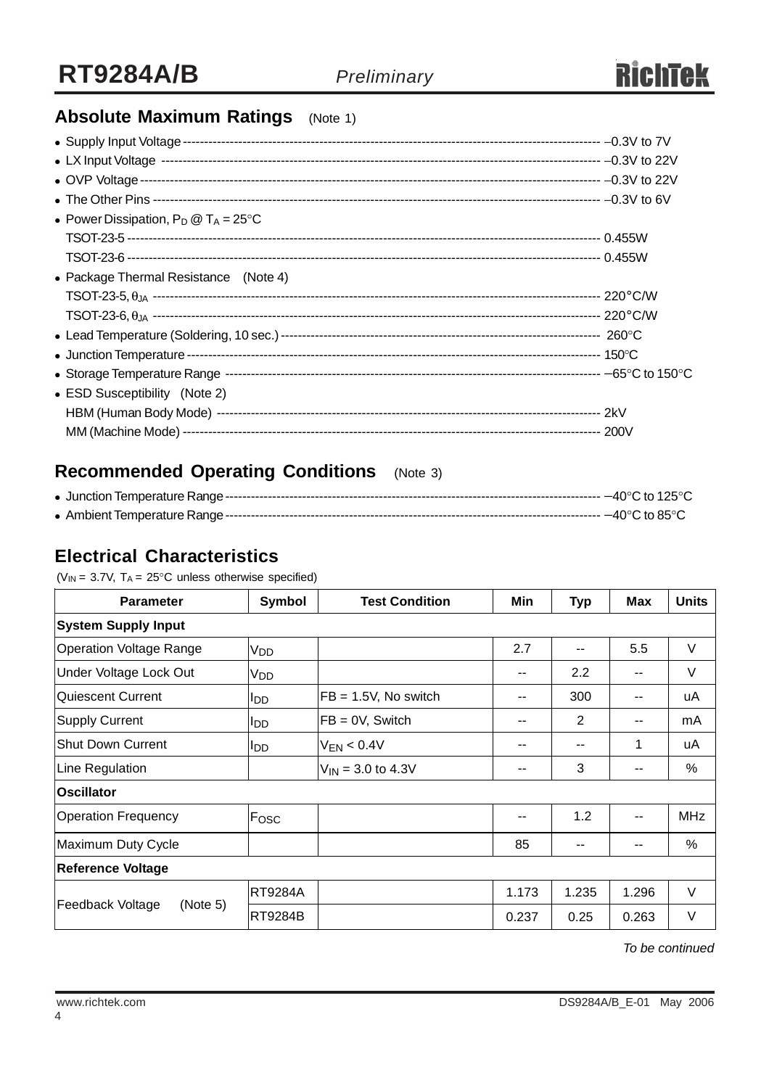# **Absolute Maximum Ratings** (Note 1)

| • Power Dissipation, $P_D @ T_A = 25^{\circ}C$ |  |
|------------------------------------------------|--|
|                                                |  |
|                                                |  |
| • Package Thermal Resistance (Note 4)          |  |
|                                                |  |
|                                                |  |
|                                                |  |
|                                                |  |
|                                                |  |
| • ESD Susceptibility (Note 2)                  |  |
|                                                |  |
|                                                |  |

# **Recommended Operating Conditions** (Note 3)

## **Electrical Characteristics**

( $V_{IN}$  = 3.7V,  $T_A$  = 25°C unless otherwise specified)

| <b>Parameter</b>               | Symbol                 | <b>Test Condition</b>         | Min   | <b>Typ</b>     | Max   | <b>Units</b> |  |
|--------------------------------|------------------------|-------------------------------|-------|----------------|-------|--------------|--|
| <b>System Supply Input</b>     |                        |                               |       |                |       |              |  |
| <b>Operation Voltage Range</b> | V <sub>DD</sub>        |                               | 2.7   | --             | 5.5   | V            |  |
| Under Voltage Lock Out         | V <sub>DD</sub>        |                               | --    | 2.2            |       | V            |  |
| Quiescent Current              | <b>I</b> DD            | $FB = 1.5V$ , No switch       | --    | 300            |       | uA           |  |
| Supply Current                 | <b>I</b> <sub>DD</sub> | $FB = 0V$ , Switch            | --    | $\overline{2}$ | --    | mA           |  |
| <b>Shut Down Current</b>       | <b>I</b> DD            | $V_{EN}$ < 0.4V               | $- -$ | --             | 1     | uA           |  |
| Line Regulation                |                        | $V_{\text{IN}}$ = 3.0 to 4.3V | --    | 3              | --    | %            |  |
| <b>Oscillator</b>              |                        |                               |       |                |       |              |  |
| <b>Operation Frequency</b>     | Fosc                   |                               | $- -$ | 1.2            |       | <b>MHz</b>   |  |
| Maximum Duty Cycle             |                        |                               | 85    | --             | --    | %            |  |
| Reference Voltage              |                        |                               |       |                |       |              |  |
|                                | RT9284A                |                               | 1.173 | 1.235          | 1.296 | V            |  |
| Feedback Voltage<br>(Note 5)   | RT9284B                |                               | 0.237 | 0.25           | 0.263 | V            |  |

*To be continued*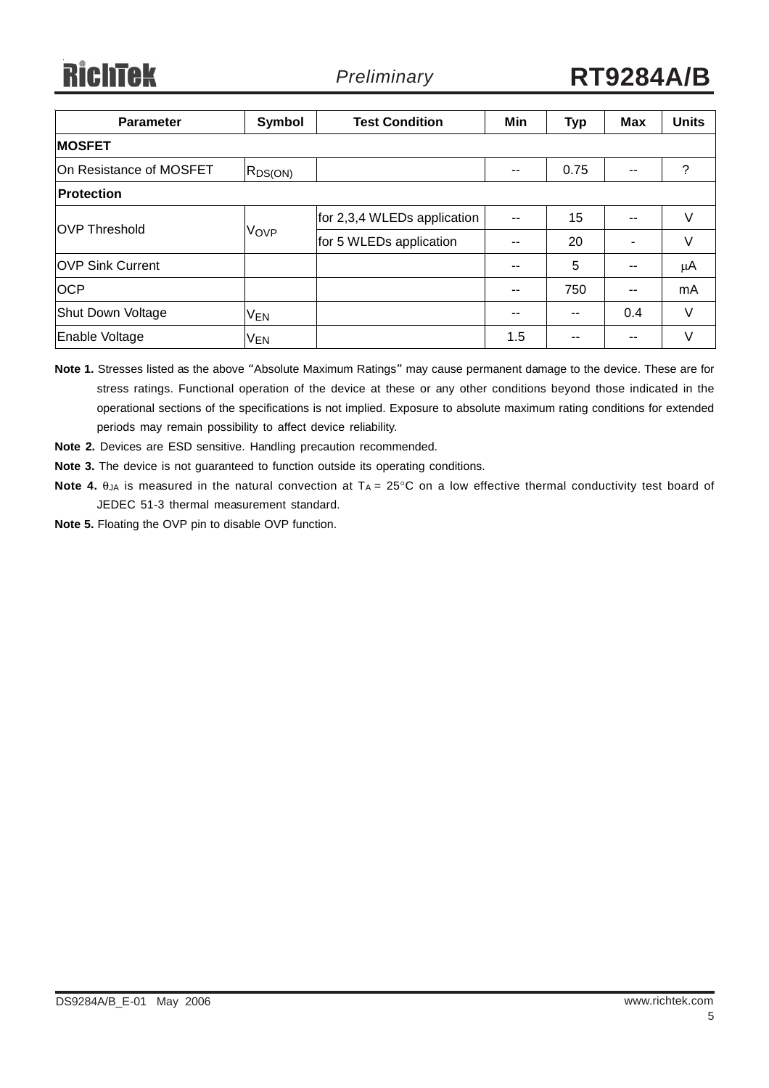| <b>Parameter</b>        | Symbol          | <b>Test Condition</b>       | Min | <b>Typ</b> | <b>Max</b> | <b>Units</b> |
|-------------------------|-----------------|-----------------------------|-----|------------|------------|--------------|
| <b>MOSFET</b>           |                 |                             |     |            |            |              |
| On Resistance of MOSFET | $R_{DS(ON)}$    |                             | --  | 0.75       | $-$        | ?            |
| <b>Protection</b>       |                 |                             |     |            |            |              |
| <b>OVP Threshold</b>    | VOVP            | for 2,3,4 WLEDs application | --  | 15         | --         | V            |
|                         |                 | for 5 WLEDs application     |     | 20         |            | V            |
| <b>OVP Sink Current</b> |                 |                             | --  | 5          | --         | μA           |
| <b>OCP</b>              |                 |                             | --  | 750        | $-$        | mA           |
| Shut Down Voltage       | <b>VEN</b>      |                             | --  | $- -$      | 0.4        | V            |
| Enable Voltage          | V <sub>EN</sub> |                             | 1.5 |            | $-$        | V            |

**Note 1.** Stresses listed as the above "Absolute Maximum Ratings" may cause permanent damage to the device. These are for stress ratings. Functional operation of the device at these or any other conditions beyond those indicated in the operational sections of the specifications is not implied. Exposure to absolute maximum rating conditions for extended periods may remain possibility to affect device reliability.

**Note 2.** Devices are ESD sensitive. Handling precaution recommended.

**Note 3.** The device is not guaranteed to function outside its operating conditions.

- **Note 4.** θ<sub>JA</sub> is measured in the natural convection at T<sub>A</sub> = 25°C on a low effective thermal conductivity test board of JEDEC 51-3 thermal measurement standard.
- **Note 5.** Floating the OVP pin to disable OVP function.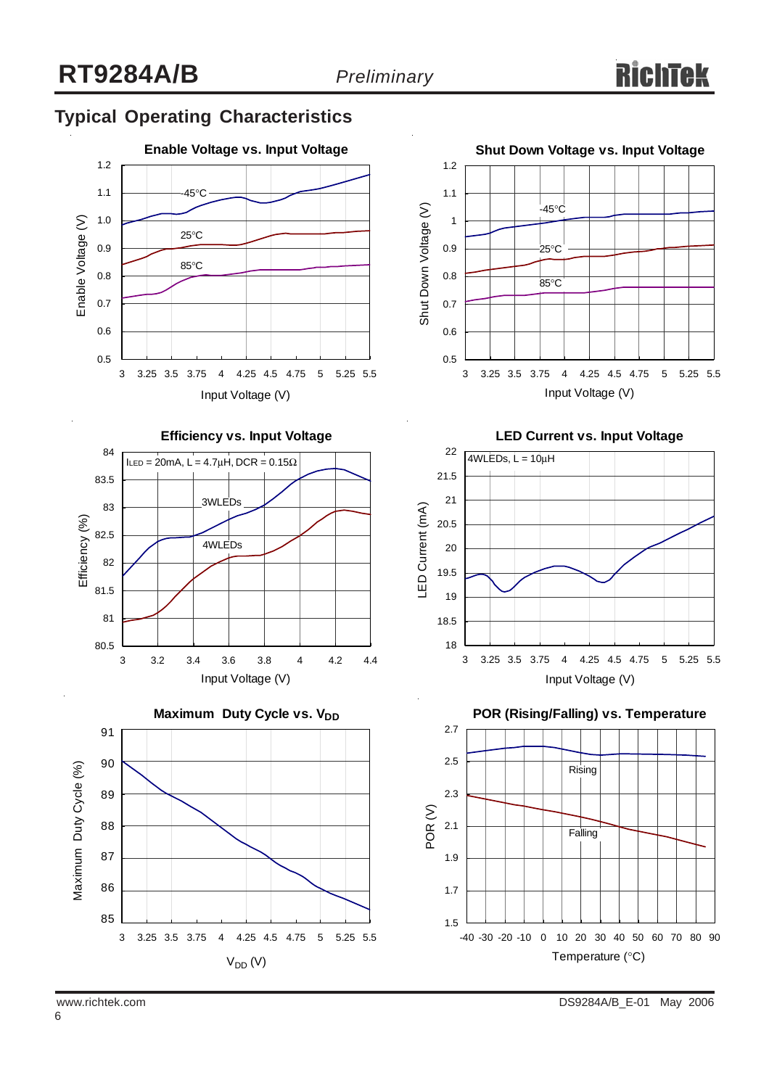# **Typical Operating Characteristics**







**Shut Down Voltage vs. Input Voltage** 1.2 1.1 Shut Down Voltage (V) -45°C Shut Down Voltage (V) 1 0.9 <sub>.</sub><br>25°C 0.8  $85^{\circ}$ C 0.7 0.6 0.5

**LED Current vs. Input Voltage**

3 3.25 3.5 3.75 4 4.25 4.5 4.75 5 5.25 5.5 Input Voltage (V)



**POR (Rising/Falling) vs. Temperature**

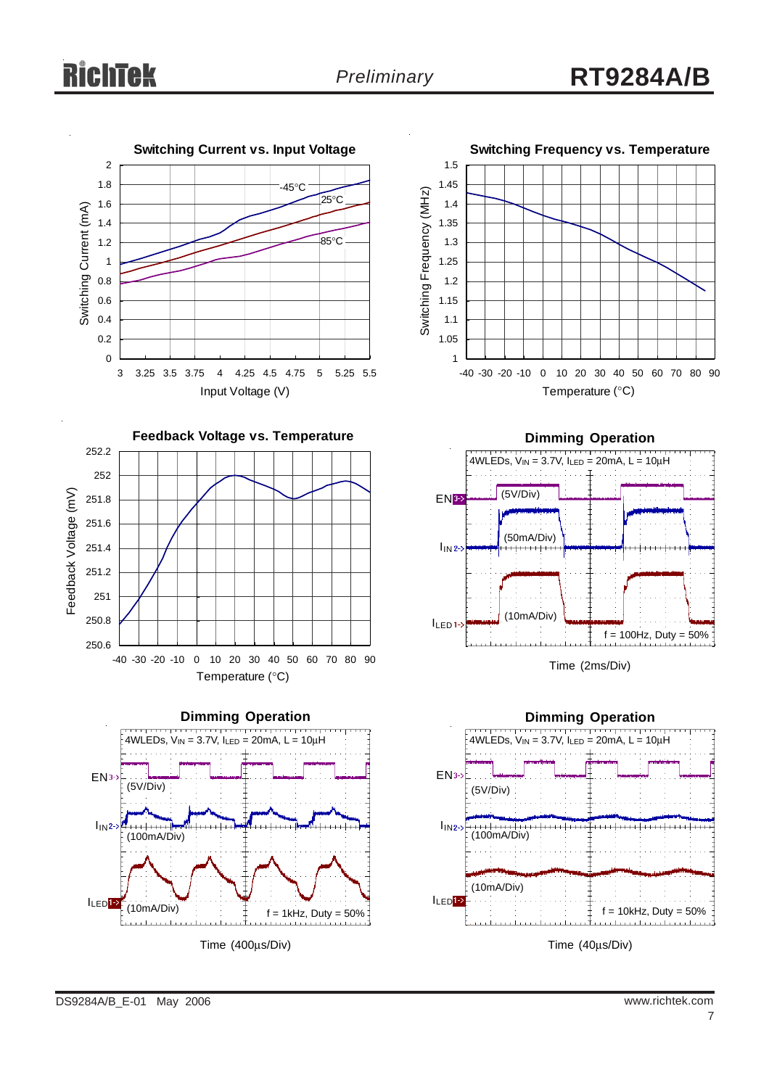









Time (2ms/Div)



Time (40μs/Div)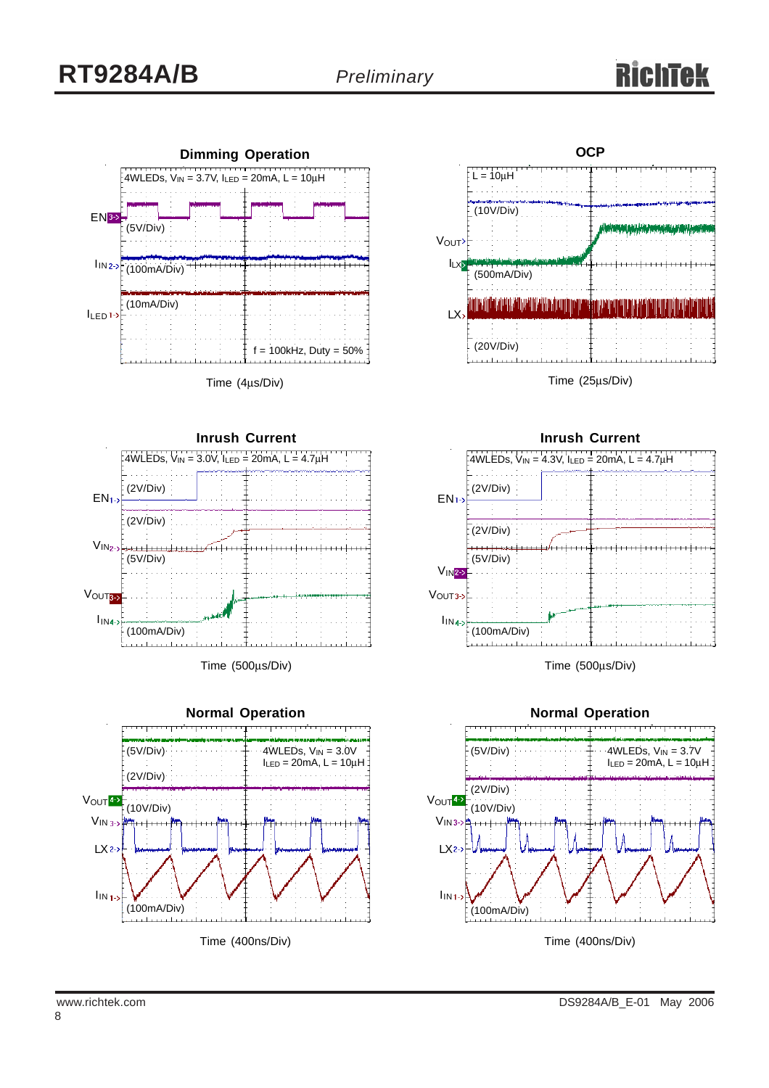

Time (4μs/Div)



Time (500μs/Div)





**Inrush Current**  $V_{1N}$ <sub>2-></sub>  $EN1-$ (2V/Div)  $4WLEDs, V_{IN} = 4.3V, I_{LED} = 20mA, L = 4.7µH$ (5V/Div) VOUT3-2 (2V/Div)

Time (500μs/Div)

 $\mathsf{I}_{\mathsf{IN4}}$ 

(100mA/Div)

n etnisti

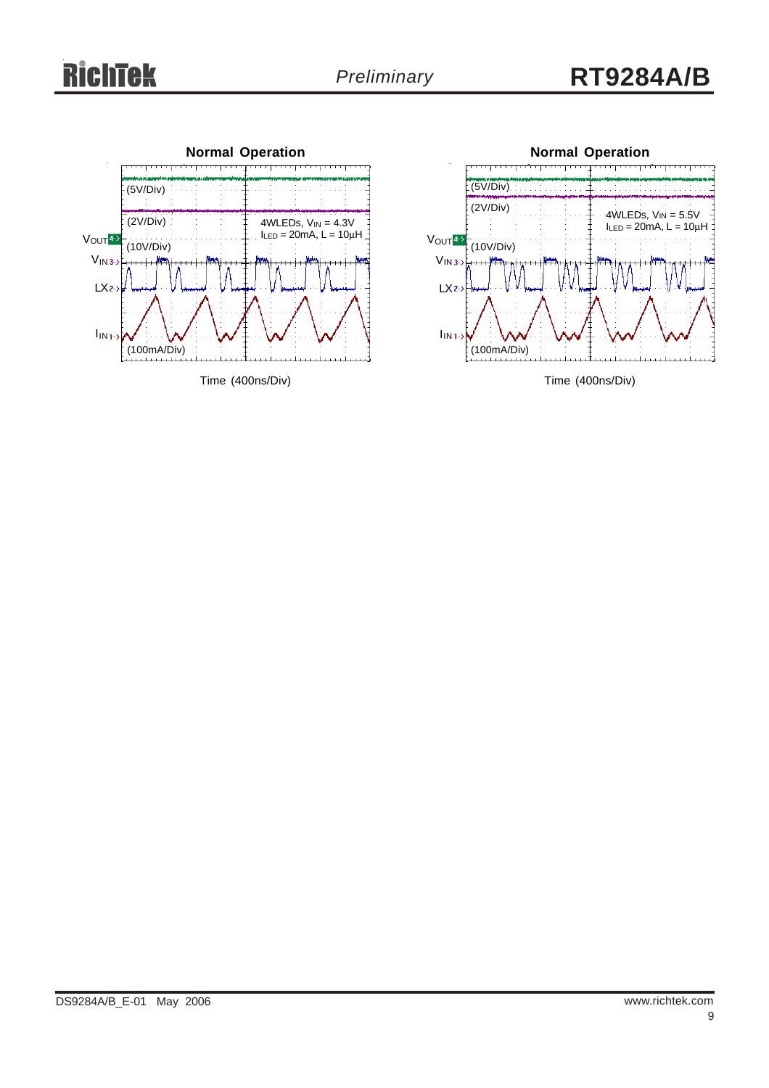# **RichTek**





Time (400ns/Div)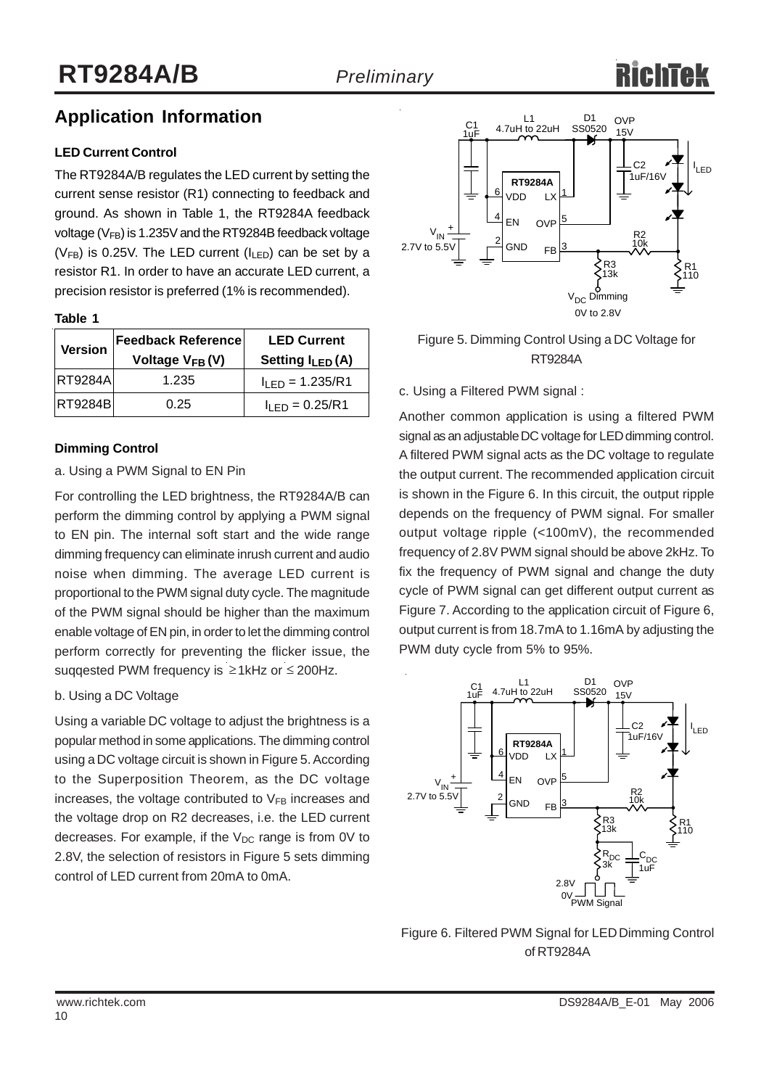# **Application Information**

### **LED Current Control**

The RT9284A/B regulates the LED current by setting the current sense resistor (R1) connecting to feedback and ground. As shown in Table 1, the RT9284A feedback voltage ( $V_{FB}$ ) is 1.235V and the RT9284B feedback voltage ( $V_{FB}$ ) is 0.25V. The LED current ( $I_{LED}$ ) can be set by a resistor R1. In order to have an accurate LED current, a precision resistor is preferred (1% is recommended).

| --<br>۰.<br>٧ | ۰, |  |
|---------------|----|--|
|               |    |  |

| <b>Version</b> | <b>Feedback Reference</b><br>Voltage V <sub>FB</sub> (V) | <b>LED Current</b><br>Setting $I_{LED}(A)$ |  |
|----------------|----------------------------------------------------------|--------------------------------------------|--|
| <b>RT9284A</b> | 1.235                                                    | $I_{LED} = 1.235/RI$                       |  |
| <b>RT9284B</b> | 0.25                                                     | $IIFD = 0.25/R1$                           |  |

### **Dimming Control**

### a. Using a PWM Signal to EN Pin

For controlling the LED brightness, the RT9284A/B can perform the dimming control by applying a PWM signal to EN pin. The internal soft start and the wide range dimming frequency can eliminate inrush current and audio noise when dimming. The average LED current is proportional to the PWM signal duty cycle. The magnitude of the PWM signal should be higher than the maximum enable voltage of EN pin, in order to let the dimming control perform correctly for preventing the flicker issue, the suqqested PWM frequency is  $\geq 1$ kHz or  $\leq 200$ Hz.

### b. Using a DC Voltage

Using a variable DC voltage to adjust the brightness is a popular method in some applications. The dimming control using a DC voltage circuit is shown in Figure 5. According to the Superposition Theorem, as the DC voltage increases, the voltage contributed to  $V_{FB}$  increases and the voltage drop on R2 decreases, i.e. the LED current decreases. For example, if the  $V_{DC}$  range is from 0V to 2.8V, the selection of resistors in Figure 5 sets dimming control of LED current from 20mA to 0mA.



Figure 5. Dimming Control Using a DC Voltage for RT9284A

c. Using a Filtered PWM signal :

Another common application is using a filtered PWM signal as an adjustable DC voltage for LED dimming control. A filtered PWM signal acts as the DC voltage to regulate the output current. The recommended application circuit is shown in the Figure 6. In this circuit, the output ripple depends on the frequency of PWM signal. For smaller output voltage ripple (<100mV), the recommended frequency of 2.8V PWM signal should be above 2kHz. To fix the frequency of PWM signal and change the duty cycle of PWM signal can get different output current as Figure 7. According to the application circuit of Figure 6, output current is from 18.7mA to 1.16mA by adjusting the PWM duty cycle from 5% to 95%.



Figure 6. Filtered PWM Signal for LED Dimming Control of RT9284A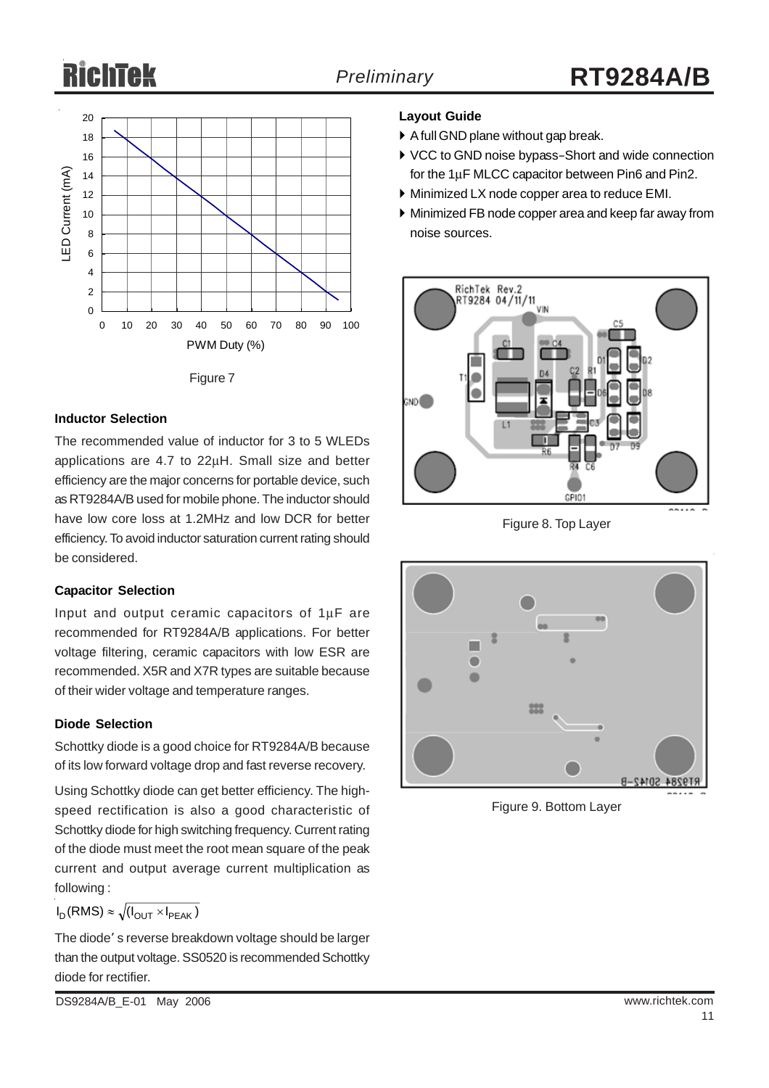# RichTek

# *Preliminary* **RT9284A/B**



Figure 7

### **Inductor Selection**

The recommended value of inductor for 3 to 5 WLEDs applications are 4.7 to 22μH. Small size and better efficiency are the major concerns for portable device, such as RT9284A/B used for mobile phone. The inductor should have low core loss at 1.2MHz and low DCR for better efficiency. To avoid inductor saturation current rating should be considered.

### **Capacitor Selection**

Input and output ceramic capacitors of 1μF are recommended for RT9284A/B applications. For better voltage filtering, ceramic capacitors with low ESR are recommended. X5R and X7R types are suitable because of their wider voltage and temperature ranges.

### **Diode Selection**

Schottky diode is a good choice for RT9284A/B because of its low forward voltage drop and fast reverse recovery.

Using Schottky diode can get better efficiency. The highspeed rectification is also a good characteristic of Schottky diode for high switching frequency. Current rating of the diode must meet the root mean square of the peak current and output average current multiplication as following :

$$
I_D(RMS) \approx \sqrt{(I_{OUT} \times I_{PEAK})}
$$

The diode' s reverse breakdown voltage should be larger than the output voltage. SS0520 is recommended Schottky diode for rectifier.

### **Layout Guide**

- A full GND plane without gap break.
- ▶ VCC to GND noise bypass–Short and wide connection for the 1μF MLCC capacitor between Pin6 and Pin2.
- ` Minimized LX node copper area to reduce EMI.
- $\triangleright$  Minimized FB node copper area and keep far away from noise sources.



Figure 8. Top Layer



Figure 9. Bottom Layer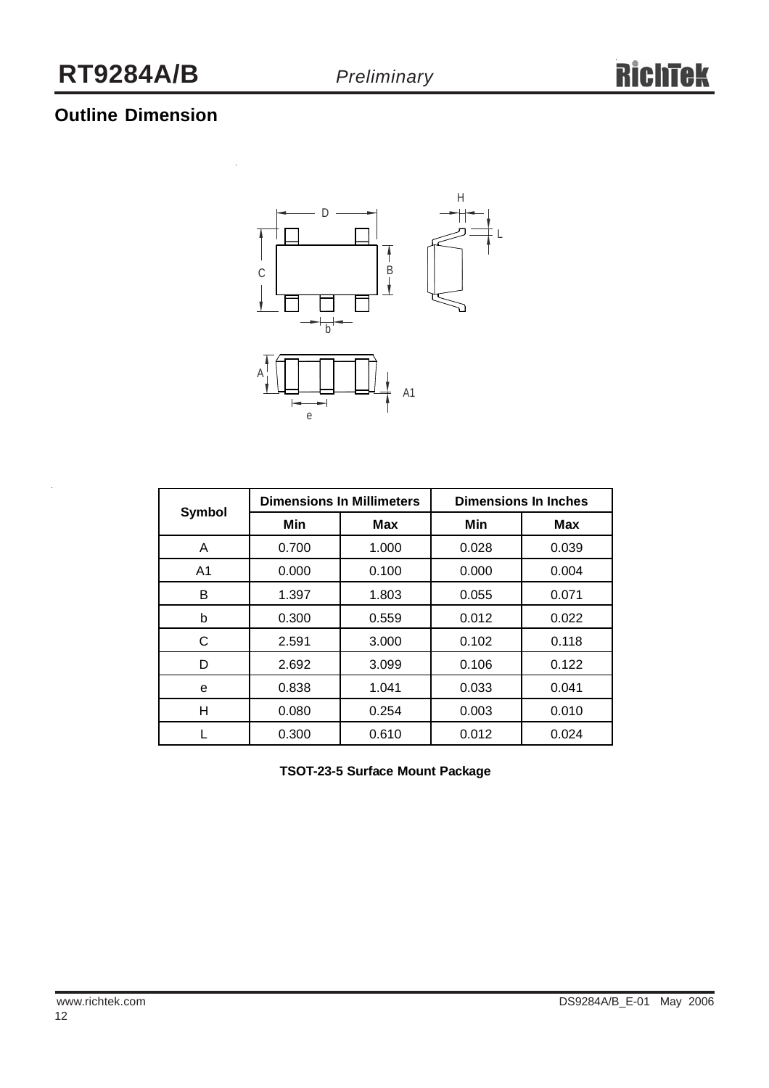# **Outline Dimension**



|                |       | <b>Dimensions In Millimeters</b> | <b>Dimensions In Inches</b> |            |  |
|----------------|-------|----------------------------------|-----------------------------|------------|--|
| Symbol         | Min   | Max                              | Min                         | <b>Max</b> |  |
| A              | 0.700 | 1.000                            | 0.028                       | 0.039      |  |
| A <sub>1</sub> | 0.000 | 0.100                            | 0.000                       | 0.004      |  |
| в              | 1.397 | 1.803                            | 0.055                       | 0.071      |  |
| b              | 0.300 | 0.559                            | 0.012                       | 0.022      |  |
| С              | 2.591 | 3.000                            | 0.102                       | 0.118      |  |
| D              | 2.692 | 3.099                            | 0.106                       | 0.122      |  |
| e              | 0.838 | 1.041                            | 0.033                       | 0.041      |  |
| н              | 0.080 | 0.254                            | 0.003                       | 0.010      |  |
|                | 0.300 | 0.610                            | 0.012                       | 0.024      |  |

**TSOT-23-5 Surface Mount Package**